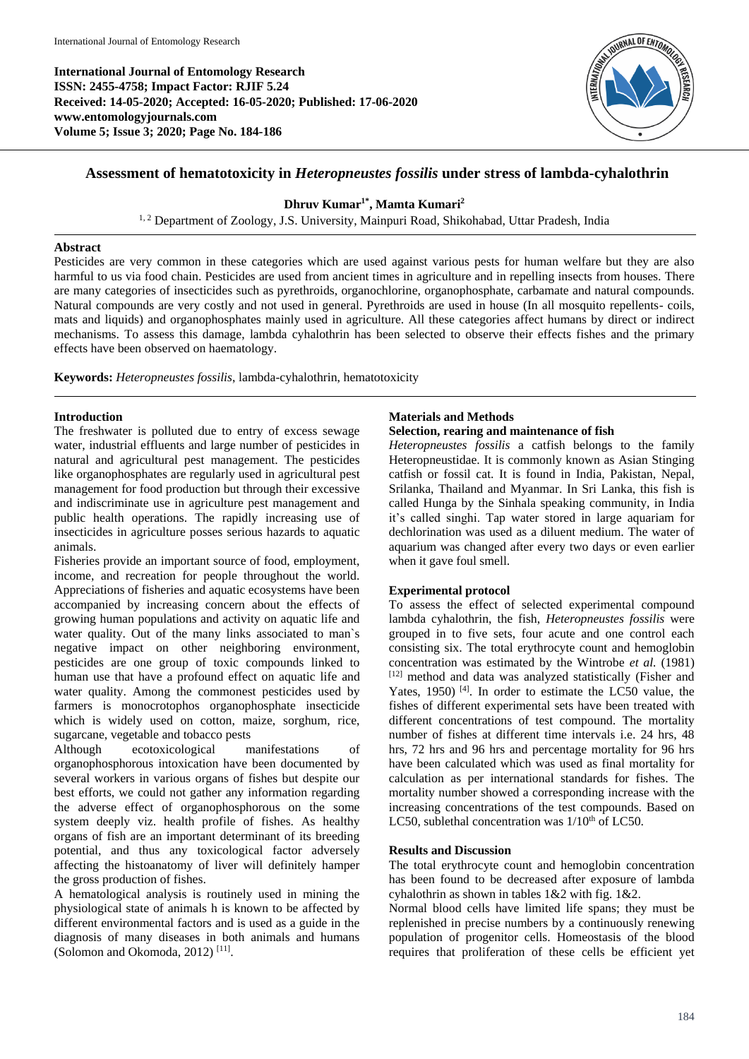**International Journal of Entomology Research ISSN: 2455-4758; Impact Factor: RJIF 5.24 Received: 14-05-2020; Accepted: 16-05-2020; Published: 17-06-2020 www.entomologyjournals.com Volume 5; Issue 3; 2020; Page No. 184-186**



# **Assessment of hematotoxicity in** *Heteropneustes fossilis* **under stress of lambda-cyhalothrin**

## **Dhruv Kumar1\*, Mamta Kumari<sup>2</sup>**

<sup>1, 2</sup> Department of Zoology, J.S. University, Mainpuri Road, Shikohabad, Uttar Pradesh, India

### **Abstract**

Pesticides are very common in these categories which are used against various pests for human welfare but they are also harmful to us via food chain. Pesticides are used from ancient times in agriculture and in repelling insects from houses. There are many categories of insecticides such as pyrethroids, organochlorine, organophosphate, carbamate and natural compounds. Natural compounds are very costly and not used in general. Pyrethroids are used in house (In all mosquito repellents- coils, mats and liquids) and organophosphates mainly used in agriculture. All these categories affect humans by direct or indirect mechanisms. To assess this damage, lambda cyhalothrin has been selected to observe their effects fishes and the primary effects have been observed on haematology.

**Keywords:** *Heteropneustes fossilis*, lambda-cyhalothrin, hematotoxicity

## **Introduction**

The freshwater is polluted due to entry of excess sewage water, industrial effluents and large number of pesticides in natural and agricultural pest management. The pesticides like organophosphates are regularly used in agricultural pest management for food production but through their excessive and indiscriminate use in agriculture pest management and public health operations. The rapidly increasing use of insecticides in agriculture posses serious hazards to aquatic animals.

Fisheries provide an important source of food, employment, income, and recreation for people throughout the world. Appreciations of fisheries and aquatic ecosystems have been accompanied by increasing concern about the effects of growing human populations and activity on aquatic life and water quality. Out of the many links associated to man`s negative impact on other neighboring environment, pesticides are one group of toxic compounds linked to human use that have a profound effect on aquatic life and water quality. Among the commonest pesticides used by farmers is monocrotophos organophosphate insecticide which is widely used on cotton, maize, sorghum, rice, sugarcane, vegetable and tobacco pests

Although ecotoxicological manifestations of organophosphorous intoxication have been documented by several workers in various organs of fishes but despite our best efforts, we could not gather any information regarding the adverse effect of organophosphorous on the some system deeply viz. health profile of fishes. As healthy organs of fish are an important determinant of its breeding potential, and thus any toxicological factor adversely affecting the histoanatomy of liver will definitely hamper the gross production of fishes.

A hematological analysis is routinely used in mining the physiological state of animals h is known to be affected by different environmental factors and is used as a guide in the diagnosis of many diseases in both animals and humans (Solomon and Okomoda, 2012)<sup>[11]</sup>.

## **Materials and Methods**

#### **Selection, rearing and maintenance of fish**

*Heteropneustes fossilis* a catfish belongs to the family Heteropneustidae. It is commonly known as Asian Stinging catfish or fossil cat. It is found in India, Pakistan, Nepal, Srilanka, Thailand and Myanmar. In Sri Lanka, this fish is called Hunga by the Sinhala speaking community, in India it's called singhi. Tap water stored in large aquariam for dechlorination was used as a diluent medium. The water of aquarium was changed after every two days or even earlier when it gave foul smell.

## **Experimental protocol**

To assess the effect of selected experimental compound lambda cyhalothrin, the fish, *Heteropneustes fossilis* were grouped in to five sets, four acute and one control each consisting six. The total erythrocyte count and hemoglobin concentration was estimated by the Wintrobe *et al.* (1981) [12] method and data was analyzed statistically (Fisher and Yates, 1950)  $[4]$ . In order to estimate the LC50 value, the fishes of different experimental sets have been treated with different concentrations of test compound. The mortality number of fishes at different time intervals i.e. 24 hrs, 48 hrs, 72 hrs and 96 hrs and percentage mortality for 96 hrs have been calculated which was used as final mortality for calculation as per international standards for fishes. The mortality number showed a corresponding increase with the increasing concentrations of the test compounds. Based on LC50, sublethal concentration was  $1/10^{th}$  of LC50.

### **Results and Discussion**

The total erythrocyte count and hemoglobin concentration has been found to be decreased after exposure of lambda cyhalothrin as shown in tables 1&2 with fig. 1&2.

Normal blood cells have limited life spans; they must be replenished in precise numbers by a continuously renewing population of progenitor cells. Homeostasis of the blood requires that proliferation of these cells be efficient yet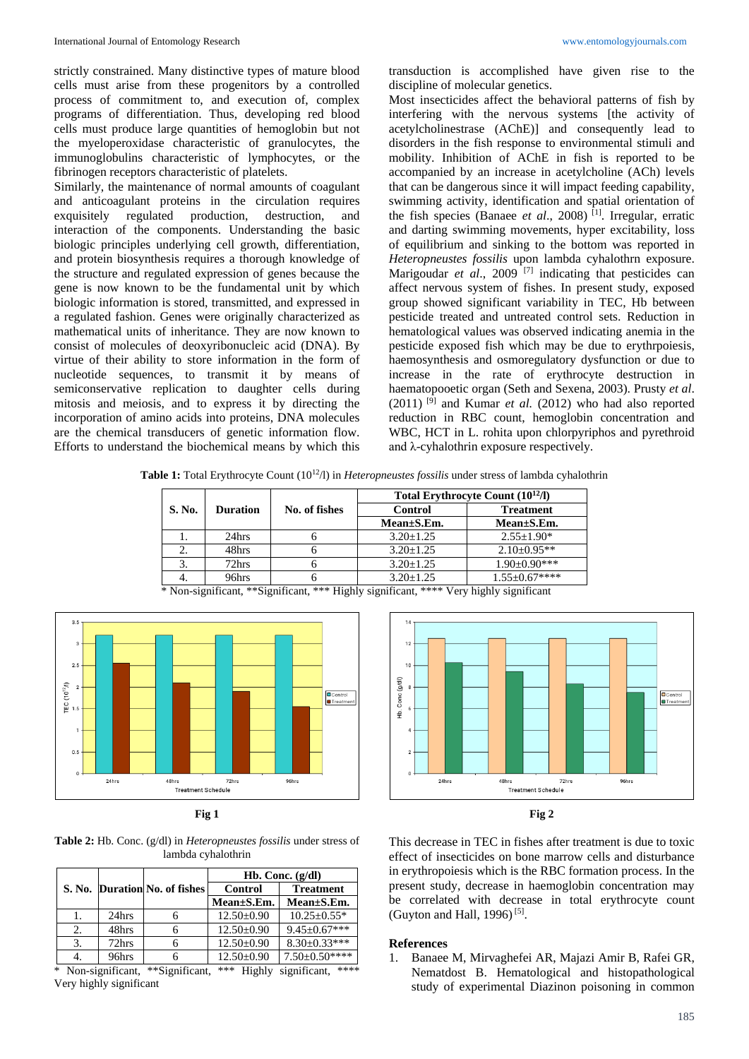strictly constrained. Many distinctive types of mature blood cells must arise from these progenitors by a controlled process of commitment to, and execution of, complex programs of differentiation. Thus, developing red blood cells must produce large quantities of hemoglobin but not the myeloperoxidase characteristic of granulocytes, the immunoglobulins characteristic of lymphocytes, or the fibrinogen receptors characteristic of platelets.

Similarly, the maintenance of normal amounts of coagulant and anticoagulant proteins in the circulation requires exquisitely regulated production, destruction, and interaction of the components. Understanding the basic biologic principles underlying cell growth, differentiation, and protein biosynthesis requires a thorough knowledge of the structure and regulated expression of genes because the gene is now known to be the fundamental unit by which biologic information is stored, transmitted, and expressed in a regulated fashion. Genes were originally characterized as mathematical units of inheritance. They are now known to consist of molecules of deoxyribonucleic acid (DNA). By virtue of their ability to store information in the form of nucleotide sequences, to transmit it by means of semiconservative replication to daughter cells during mitosis and meiosis, and to express it by directing the incorporation of amino acids into proteins, DNA molecules are the chemical transducers of genetic information flow. Efforts to understand the biochemical means by which this

transduction is accomplished have given rise to the discipline of molecular genetics.

Most insecticides affect the behavioral patterns of fish by interfering with the nervous systems [the activity of acetylcholinestrase (AChE)] and consequently lead to disorders in the fish response to environmental stimuli and mobility. Inhibition of AChE in fish is reported to be accompanied by an increase in acetylcholine (ACh) levels that can be dangerous since it will impact feeding capability, swimming activity, identification and spatial orientation of the fish species (Banaee *et al*., 2008) [1]. Irregular, erratic and darting swimming movements, hyper excitability, loss of equilibrium and sinking to the bottom was reported in *Heteropneustes fossilis* upon lambda cyhalothrn exposure. Marigoudar *et al.*, 2009<sup>[7]</sup> indicating that pesticides can affect nervous system of fishes. In present study, exposed group showed significant variability in TEC, Hb between pesticide treated and untreated control sets. Reduction in hematological values was observed indicating anemia in the pesticide exposed fish which may be due to erythrpoiesis, haemosynthesis and osmoregulatory dysfunction or due to increase in the rate of erythrocyte destruction in haematopooetic organ (Seth and Sexena, 2003). Prusty *et al*.  $(2011)$ <sup>[9]</sup> and Kumar *et al.*  $(2012)$  who had also reported reduction in RBC count, hemoglobin concentration and WBC, HCT in L. rohita upon chlorpyriphos and pyrethroid and λ-cyhalothrin exposure respectively.

**Table 1:** Total Erythrocyte Count (10<sup>12</sup>/l) in *Heteropneustes fossilis* under stress of lambda cyhalothrin

|        |                 |               | Total Erythrocyte Count (10 <sup>12</sup> /l) |                     |
|--------|-----------------|---------------|-----------------------------------------------|---------------------|
| S. No. | <b>Duration</b> | No. of fishes | <b>Control</b>                                | <b>Treatment</b>    |
|        |                 |               | Mean±S.Em.                                    | Mean±S.Em.          |
|        | 24hrs           |               | $3.20 + 1.25$                                 | $2.55 \pm 1.90^*$   |
|        | 48hrs           |               | $3.20 + 1.25$                                 | $2.10\pm0.95**$     |
|        | 72hrs           |               | $3.20 \pm 1.25$                               | $1.90 \pm 0.90$ *** |
|        | 96hrs           |               | $3.20 + 1.25$                                 | $1.55 \pm 0.67***$  |

\* Non-significant, \*\*Significant, \*\*\* Highly significant, \*\*\*\* Very highly significant



**Fig 1**

**Table 2:** Hb. Conc. (g/dl) in *Heteropneustes fossilis* under stress of lambda cyhalothrin

|                                                                                                           |       |                               | Hb. Conc. $(g/dl)$ |                      |  |
|-----------------------------------------------------------------------------------------------------------|-------|-------------------------------|--------------------|----------------------|--|
|                                                                                                           |       | S. No. Duration No. of fishes | <b>Control</b>     | <b>Treatment</b>     |  |
|                                                                                                           |       |                               | Mean±S.Em.         | $Mean \pm S. Em.$    |  |
|                                                                                                           | 24hrs |                               | $12.50 \pm 0.90$   | $10.25 \pm 0.55*$    |  |
| 2.                                                                                                        | 48hrs |                               | $12.50 \pm 0.90$   | $9.45 \pm 0.67***$   |  |
| 3.                                                                                                        | 72hrs |                               | $12.50 \pm 0.90$   | $8.30 \pm 0.33$ ***  |  |
|                                                                                                           | 96hrs |                               | $12.50 \pm 0.90$   | $7.50 \pm 0.50$ **** |  |
| $\Phi \Phi \Phi = \mathbf{T} \mathbf{T}^* + \mathbf{I} \mathbf{T} + \mathbf{T}^* + \mathbf{C}^* + \cdots$ |       |                               |                    |                      |  |

Non-significant, \*\*Significant, \*\*\* Highly significant, Very highly significant



This decrease in TEC in fishes after treatment is due to toxic effect of insecticides on bone marrow cells and disturbance in erythropoiesis which is the RBC formation process. In the present study, decrease in haemoglobin concentration may be correlated with decrease in total erythrocyte count (Guyton and Hall, 1996)<sup>[5]</sup>.

#### **References**

1. Banaee M, Mirvaghefei AR, Majazi Amir B, Rafei GR, Nematdost B. Hematological and histopathological study of experimental Diazinon poisoning in common